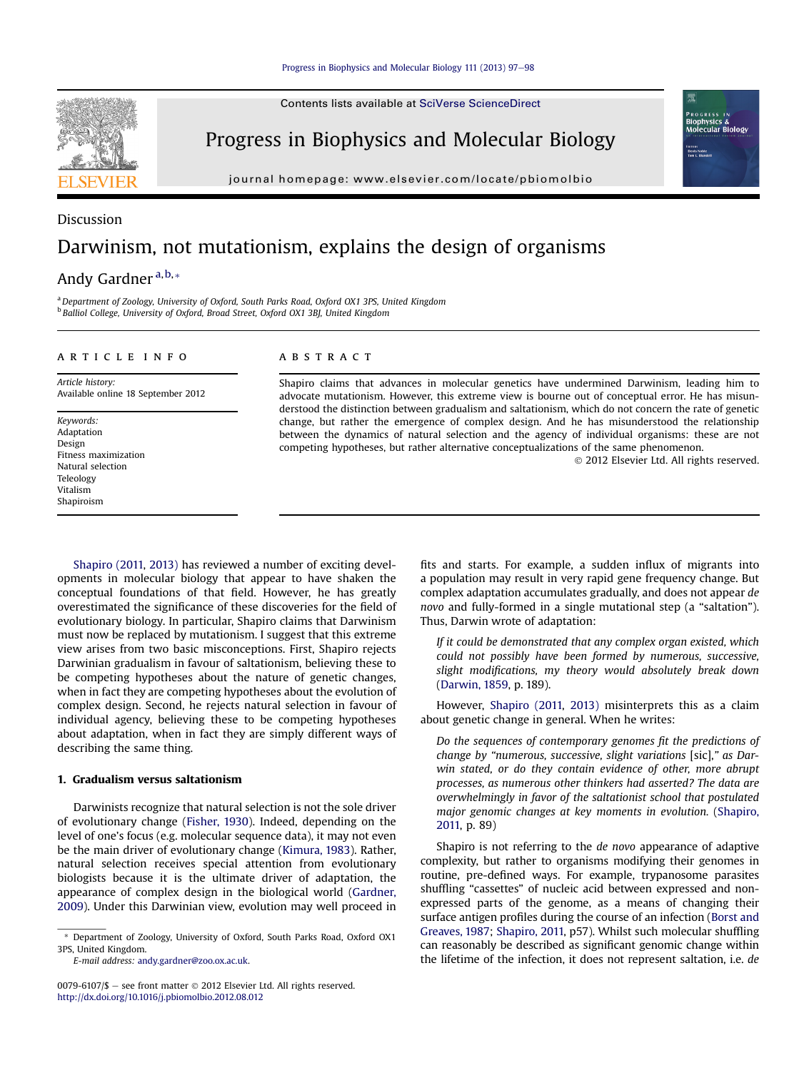Contents lists available at SciVerse ScienceDirect

Progress in Biophysics and Molecular Biology

journal homepage: [www.elsevier.com/locate/pbiomolbio](http://www.elsevier.com/locate/pbiomolbio)

# Discussion Darwinism, not mutationism, explains the design of organisms

## Andy Gardner<sup>a,b,\*</sup>

a Department of Zoology, University of Oxford, South Parks Road, Oxford OX1 3PS, United Kingdom <sup>b</sup> Balliol College, University of Oxford, Broad Street, Oxford OX1 3BJ, United Kingdom

#### article info

Article history: Available online 18 September 2012

Keywords: Adaptation Design Fitness maximization Natural selection Teleology Vitalism Shapiroism

### ABSTRACT

Shapiro claims that advances in molecular genetics have undermined Darwinism, leading him to advocate mutationism. However, this extreme view is bourne out of conceptual error. He has misunderstood the distinction between gradualism and saltationism, which do not concern the rate of genetic change, but rather the emergence of complex design. And he has misunderstood the relationship between the dynamics of natural selection and the agency of individual organisms: these are not competing hypotheses, but rather alternative conceptualizations of the same phenomenon. 2012 Elsevier Ltd. All rights reserved.

[Shapiro \(2011,](#page-1-0) [2013\)](#page-1-0) has reviewed a number of exciting developments in molecular biology that appear to have shaken the conceptual foundations of that field. However, he has greatly overestimated the significance of these discoveries for the field of evolutionary biology. In particular, Shapiro claims that Darwinism must now be replaced by mutationism. I suggest that this extreme view arises from two basic misconceptions. First, Shapiro rejects Darwinian gradualism in favour of saltationism, believing these to be competing hypotheses about the nature of genetic changes, when in fact they are competing hypotheses about the evolution of complex design. Second, he rejects natural selection in favour of individual agency, believing these to be competing hypotheses about adaptation, when in fact they are simply different ways of describing the same thing.

#### 1. Gradualism versus saltationism

Darwinists recognize that natural selection is not the sole driver of evolutionary change [\(Fisher, 1930](#page-1-0)). Indeed, depending on the level of one's focus (e.g. molecular sequence data), it may not even be the main driver of evolutionary change [\(Kimura, 1983](#page-1-0)). Rather, natural selection receives special attention from evolutionary biologists because it is the ultimate driver of adaptation, the appearance of complex design in the biological world [\(Gardner,](#page-1-0) [2009\)](#page-1-0). Under this Darwinian view, evolution may well proceed in

E-mail address: [andy.gardner@zoo.ox.ac.uk.](mailto:andy.gardner@zoo.ox.ac.uk)

0079-6107/\$ - see front matter  $\odot$  2012 Elsevier Ltd. All rights reserved. <http://dx.doi.org/10.1016/j.pbiomolbio.2012.08.012>

fits and starts. For example, a sudden influx of migrants into a population may result in very rapid gene frequency change. But complex adaptation accumulates gradually, and does not appear de novo and fully-formed in a single mutational step (a "saltation"). Thus, Darwin wrote of adaptation:

GRES! Biophysics &<br>Molecular Biology

If it could be demonstrated that any complex organ existed, which could not possibly have been formed by numerous, successive, slight modifications, my theory would absolutely break down [\(Darwin, 1859,](#page-1-0) p. 189).

However, [Shapiro \(2011,](#page-1-0) [2013\)](#page-1-0) misinterprets this as a claim about genetic change in general. When he writes:

Do the sequences of contemporary genomes fit the predictions of change by "numerous, successive, slight variations [sic]," as Darwin stated, or do they contain evidence of other, more abrupt processes, as numerous other thinkers had asserted? The data are overwhelmingly in favor of the saltationist school that postulated major genomic changes at key moments in evolution. ([Shapiro,](#page-1-0) [2011,](#page-1-0) p. 89)

Shapiro is not referring to the de novo appearance of adaptive complexity, but rather to organisms modifying their genomes in routine, pre-defined ways. For example, trypanosome parasites shuffling "cassettes" of nucleic acid between expressed and nonexpressed parts of the genome, as a means of changing their surface antigen profiles during the course of an infection [\(Borst and](#page-1-0) [Greaves, 1987;](#page-1-0) [Shapiro, 2011,](#page-1-0) p57). Whilst such molecular shuffling can reasonably be described as significant genomic change within the lifetime of the infection, it does not represent saltation, i.e. de

<sup>\*</sup> Department of Zoology, University of Oxford, South Parks Road, Oxford OX1 3PS, United Kingdom.